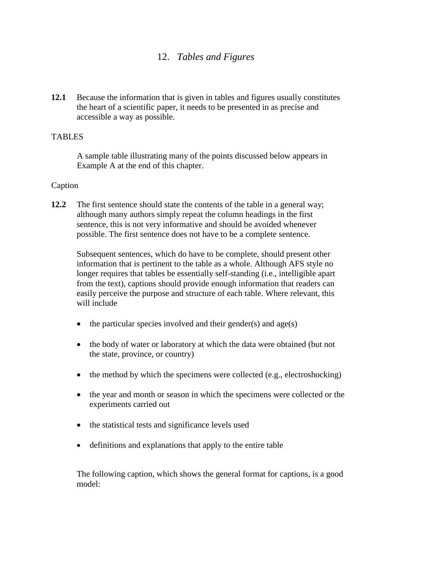# 12. *Tables and Figures*

**12.1** Because the information that is given in tables and figures usually constitutes the heart of a scientific paper, it needs to be presented in as precise and accessible a way as possible.

## **TABLES**

A sample table illustrating many of the points discussed below appears in Example A at the end of this chapter.

### Caption

**12.2** The first sentence should state the contents of the table in a general way; although many authors simply repeat the column headings in the first sentence, this is not very informative and should be avoided whenever possible. The first sentence does not have to be a complete sentence.

Subsequent sentences, which do have to be complete, should present other information that is pertinent to the table as a whole. Although AFS style no longer requires that tables be essentially self-standing (i.e., intelligible apart from the text), captions should provide enough information that readers can easily perceive the purpose and structure of each table. Where relevant, this will include

- $\bullet$  the particular species involved and their gender(s) and age(s)
- the body of water or laboratory at which the data were obtained (but not the state, province, or country)
- the method by which the specimens were collected (e.g., electroshocking)
- the year and month or season in which the specimens were collected or the experiments carried out
- the statistical tests and significance levels used
- definitions and explanations that apply to the entire table

The following caption, which shows the general format for captions, is a good model: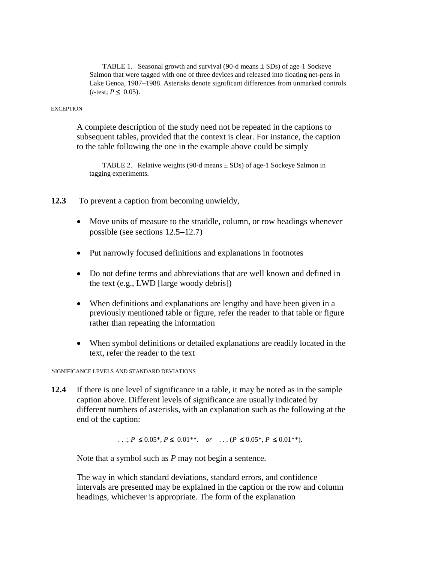TABLE 1. Seasonal growth and survival (90-d means  $\pm$  SDs) of age-1 Sockeye Salmon that were tagged with one of three devices and released into floating net-pens in Lake Genoa, 1987−1988. Asterisks denote significant differences from unmarked controls  $(t$ -test;  $P \le 0.05$ ).

#### **EXCEPTION**

A complete description of the study need not be repeated in the captions to subsequent tables, provided that the context is clear. For instance, the caption to the table following the one in the example above could be simply

TABLE 2. Relative weights (90-d means  $\pm$  SDs) of age-1 Sockeye Salmon in tagging experiments.

- **12.3** To prevent a caption from becoming unwieldy,
	- Move units of measure to the straddle, column, or row headings whenever possible (see sections 12.5−12.7)
	- Put narrowly focused definitions and explanations in footnotes
	- Do not define terms and abbreviations that are well known and defined in the text (e.g., LWD [large woody debris])
	- When definitions and explanations are lengthy and have been given in a previously mentioned table or figure, refer the reader to that table or figure rather than repeating the information
	- When symbol definitions or detailed explanations are readily located in the text, refer the reader to the text

#### SIGNIFICANCE LEVELS AND STANDARD DEVIATIONS

**12.4** If there is one level of significance in a table, it may be noted as in the sample caption above. Different levels of significance are usually indicated by different numbers of asterisks, with an explanation such as the following at the end of the caption:

...;  $P \le 0.05^*$ ,  $P \le 0.01^{**}$ . *or* ... ( $P \le 0.05^*$ ,  $P \le 0.01^{**}$ ).

Note that a symbol such as *P* may not begin a sentence.

The way in which standard deviations, standard errors, and confidence intervals are presented may be explained in the caption or the row and column headings, whichever is appropriate. The form of the explanation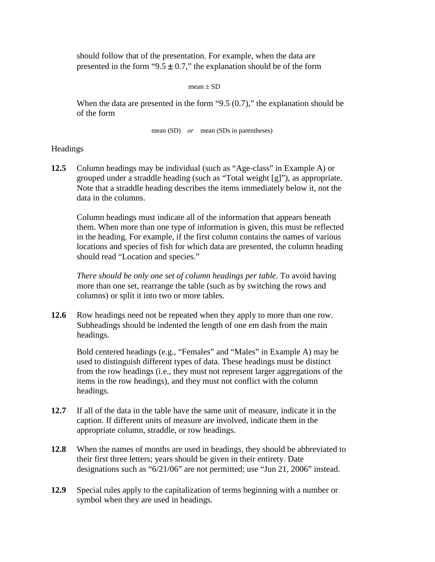should follow that of the presentation. For example, when the data are presented in the form "9.5  $\pm$  0.7," the explanation should be of the form

mean  $\pm$  SD

When the data are presented in the form "9.5  $(0.7)$ ," the explanation should be of the form

mean (SD) *or* mean (SDs in parentheses)

### Headings

**12.5** Column headings may be individual (such as "Age-class" in Example A) or grouped under a straddle heading (such as "Total weight [g]"), as appropriate. Note that a straddle heading describes the items immediately below it, not the data in the columns.

Column headings must indicate all of the information that appears beneath them. When more than one type of information is given, this must be reflected in the heading. For example, if the first column contains the names of various locations and species of fish for which data are presented, the column heading should read "Location and species."

*There should be only one set of column headings per table*. To avoid having more than one set, rearrange the table (such as by switching the rows and columns) or split it into two or more tables.

**12.6** Row headings need not be repeated when they apply to more than one row. Subheadings should be indented the length of one em dash from the main headings.

Bold centered headings (e.g., "Females" and "Males" in Example A) may be used to distinguish different types of data. These headings must be distinct from the row headings (i.e., they must not represent larger aggregations of the items in the row headings), and they must not conflict with the column headings.

- **12.7** If all of the data in the table have the same unit of measure, indicate it in the caption. If different units of measure are involved, indicate them in the appropriate column, straddle, or row headings.
- **12.8** When the names of months are used in headings, they should be abbreviated to their first three letters; years should be given in their entirety. Date designations such as "6/21/06" are not permitted; use "Jun 21, 2006" instead.
- **12.9** Special rules apply to the capitalization of terms beginning with a number or symbol when they are used in headings.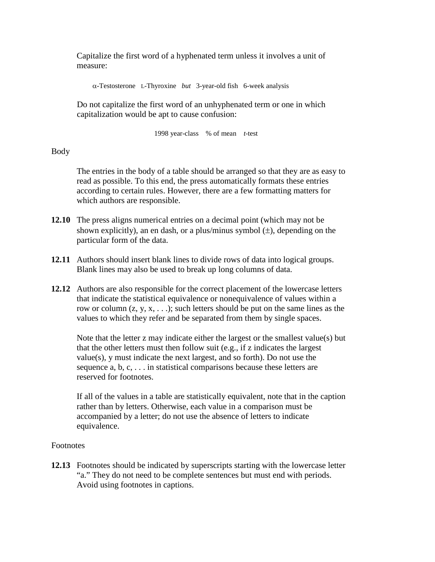Capitalize the first word of a hyphenated term unless it involves a unit of measure:

α-Testosterone L-Thyroxine *but* 3-year-old fish 6-week analysis

Do not capitalize the first word of an unhyphenated term or one in which capitalization would be apt to cause confusion:

1998 year-class % of mean *t*-test

## Body

The entries in the body of a table should be arranged so that they are as easy to read as possible. To this end, the press automatically formats these entries according to certain rules. However, there are a few formatting matters for which authors are responsible.

- **12.10** The press aligns numerical entries on a decimal point (which may not be shown explicitly), an en dash, or a plus/minus symbol  $(\pm)$ , depending on the particular form of the data.
- **12.11** Authors should insert blank lines to divide rows of data into logical groups. Blank lines may also be used to break up long columns of data.
- **12.12** Authors are also responsible for the correct placement of the lowercase letters that indicate the statistical equivalence or nonequivalence of values within a row or column  $(z, y, x, \ldots)$ ; such letters should be put on the same lines as the values to which they refer and be separated from them by single spaces.

Note that the letter z may indicate either the largest or the smallest value(s) but that the other letters must then follow suit (e.g., if z indicates the largest value(s), y must indicate the next largest, and so forth). Do not use the sequence a, b, c, . . . in statistical comparisons because these letters are reserved for footnotes.

If all of the values in a table are statistically equivalent, note that in the caption rather than by letters. Otherwise, each value in a comparison must be accompanied by a letter; do not use the absence of letters to indicate equivalence.

### Footnotes

**12.13** Footnotes should be indicated by superscripts starting with the lowercase letter "a." They do not need to be complete sentences but must end with periods. Avoid using footnotes in captions.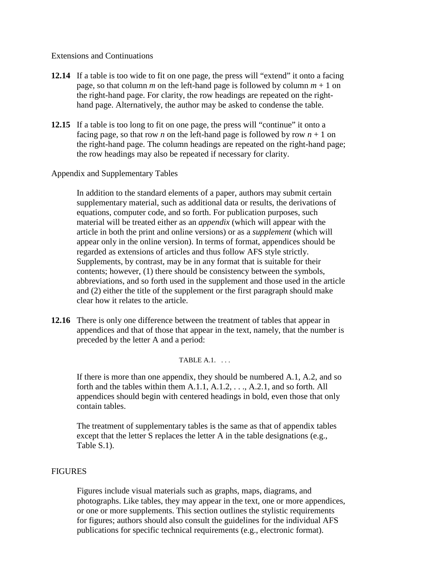### Extensions and Continuations

- **12.14** If a table is too wide to fit on one page, the press will "extend" it onto a facing page, so that column *m* on the left-hand page is followed by column  $m + 1$  on the right-hand page. For clarity, the row headings are repeated on the righthand page. Alternatively, the author may be asked to condense the table.
- **12.15** If a table is too long to fit on one page, the press will "continue" it onto a facing page, so that row *n* on the left-hand page is followed by row  $n + 1$  on the right-hand page. The column headings are repeated on the right-hand page; the row headings may also be repeated if necessary for clarity.

### Appendix and Supplementary Tables

In addition to the standard elements of a paper, authors may submit certain supplementary material, such as additional data or results, the derivations of equations, computer code, and so forth. For publication purposes, such material will be treated either as an *appendix* (which will appear with the article in both the print and online versions) or as a *supplement* (which will appear only in the online version). In terms of format, appendices should be regarded as extensions of articles and thus follow AFS style strictly. Supplements, by contrast, may be in any format that is suitable for their contents; however, (1) there should be consistency between the symbols, abbreviations, and so forth used in the supplement and those used in the article and (2) either the title of the supplement or the first paragraph should make clear how it relates to the article.

**12.16** There is only one difference between the treatment of tables that appear in appendices and that of those that appear in the text, namely, that the number is preceded by the letter A and a period:

### TABLE  $A.1.$ ...

If there is more than one appendix, they should be numbered A.1, A.2, and so forth and the tables within them A.1.1, A.1.2, . . ., A.2.1, and so forth. All appendices should begin with centered headings in bold, even those that only contain tables.

The treatment of supplementary tables is the same as that of appendix tables except that the letter S replaces the letter A in the table designations (e.g., Table S.1).

### FIGURES

Figures include visual materials such as graphs, maps, diagrams, and photographs. Like tables, they may appear in the text, one or more appendices, or one or more supplements. This section outlines the stylistic requirements for figures; authors should also consult the guidelines for the individual AFS publications for specific technical requirements (e.g., electronic format).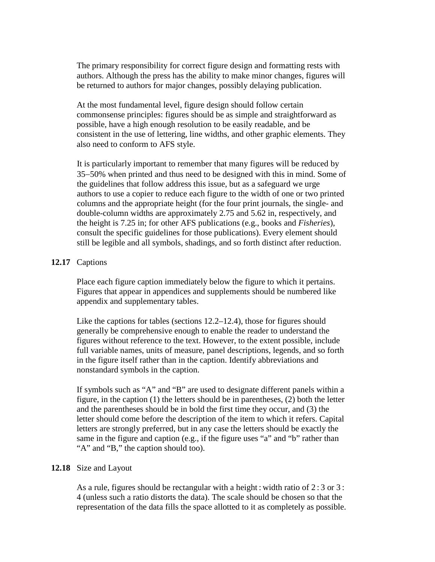The primary responsibility for correct figure design and formatting rests with authors. Although the press has the ability to make minor changes, figures will be returned to authors for major changes, possibly delaying publication.

At the most fundamental level, figure design should follow certain commonsense principles: figures should be as simple and straightforward as possible, have a high enough resolution to be easily readable, and be consistent in the use of lettering, line widths, and other graphic elements. They also need to conform to AFS style.

It is particularly important to remember that many figures will be reduced by 35−50% when printed and thus need to be designed with this in mind. Some of the guidelines that follow address this issue, but as a safeguard we urge authors to use a copier to reduce each figure to the width of one or two printed columns and the appropriate height (for the four print journals, the single- and double-column widths are approximately 2.75 and 5.62 in, respectively, and the height is 7.25 in; for other AFS publications (e.g., books and *Fisheries*), consult the specific guidelines for those publications). Every element should still be legible and all symbols, shadings, and so forth distinct after reduction.

### **12.17** Captions

Place each figure caption immediately below the figure to which it pertains. Figures that appear in appendices and supplements should be numbered like appendix and supplementary tables.

Like the captions for tables (sections 12.2–12.4), those for figures should generally be comprehensive enough to enable the reader to understand the figures without reference to the text. However, to the extent possible, include full variable names, units of measure, panel descriptions, legends, and so forth in the figure itself rather than in the caption. Identify abbreviations and nonstandard symbols in the caption.

If symbols such as "A" and "B" are used to designate different panels within a figure, in the caption (1) the letters should be in parentheses, (2) both the letter and the parentheses should be in bold the first time they occur, and (3) the letter should come before the description of the item to which it refers. Capital letters are strongly preferred, but in any case the letters should be exactly the same in the figure and caption (e.g., if the figure uses "a" and "b" rather than "A" and "B," the caption should too).

### **12.18** Size and Layout

As a rule, figures should be rectangular with a height : width ratio of  $2:3$  or  $3:$ 4 (unless such a ratio distorts the data). The scale should be chosen so that the representation of the data fills the space allotted to it as completely as possible.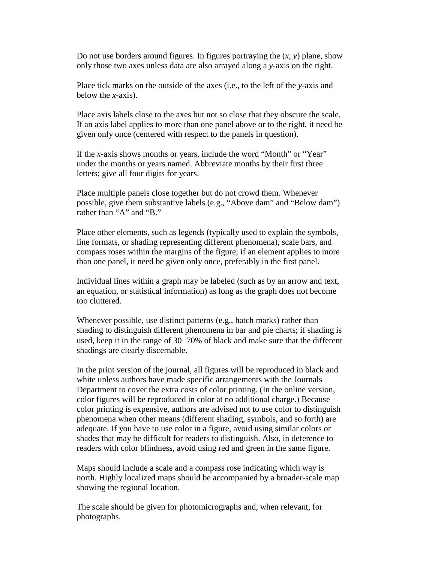Do not use borders around figures. In figures portraying the  $(x, y)$  plane, show only those two axes unless data are also arrayed along a *y*-axis on the right.

Place tick marks on the outside of the axes (i.e., to the left of the *y*-axis and below the *x*-axis).

Place axis labels close to the axes but not so close that they obscure the scale. If an axis label applies to more than one panel above or to the right, it need be given only once (centered with respect to the panels in question).

If the *x*-axis shows months or years, include the word "Month" or "Year" under the months or years named. Abbreviate months by their first three letters; give all four digits for years.

Place multiple panels close together but do not crowd them. Whenever possible, give them substantive labels (e.g., "Above dam" and "Below dam") rather than "A" and "B."

Place other elements, such as legends (typically used to explain the symbols, line formats, or shading representing different phenomena), scale bars, and compass roses within the margins of the figure; if an element applies to more than one panel, it need be given only once, preferably in the first panel.

Individual lines within a graph may be labeled (such as by an arrow and text, an equation, or statistical information) as long as the graph does not become too cluttered.

Whenever possible, use distinct patterns (e.g., hatch marks) rather than shading to distinguish different phenomena in bar and pie charts; if shading is used, keep it in the range of 30−70% of black and make sure that the different shadings are clearly discernable.

In the print version of the journal, all figures will be reproduced in black and white unless authors have made specific arrangements with the Journals Department to cover the extra costs of color printing. (In the online version, color figures will be reproduced in color at no additional charge.) Because color printing is expensive, authors are advised not to use color to distinguish phenomena when other means (different shading, symbols, and so forth) are adequate. If you have to use color in a figure, avoid using similar colors or shades that may be difficult for readers to distinguish. Also, in deference to readers with color blindness, avoid using red and green in the same figure.

Maps should include a scale and a compass rose indicating which way is north. Highly localized maps should be accompanied by a broader-scale map showing the regional location.

The scale should be given for photomicrographs and, when relevant, for photographs.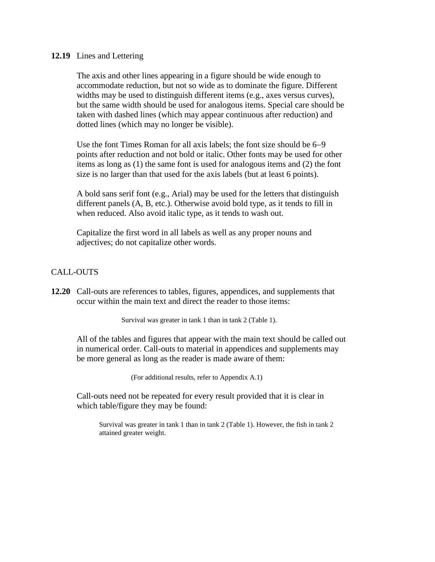#### **12.19** Lines and Lettering

The axis and other lines appearing in a figure should be wide enough to accommodate reduction, but not so wide as to dominate the figure. Different widths may be used to distinguish different items (e.g., axes versus curves), but the same width should be used for analogous items. Special care should be taken with dashed lines (which may appear continuous after reduction) and dotted lines (which may no longer be visible).

Use the font Times Roman for all axis labels; the font size should be 6−9 points after reduction and not bold or italic. Other fonts may be used for other items as long as (1) the same font is used for analogous items and (2) the font size is no larger than that used for the axis labels (but at least 6 points).

A bold sans serif font (e.g., Arial) may be used for the letters that distinguish different panels (A, B, etc.). Otherwise avoid bold type, as it tends to fill in when reduced. Also avoid italic type, as it tends to wash out.

Capitalize the first word in all labels as well as any proper nouns and adjectives; do not capitalize other words.

### CALL-OUTS

**12.20** Call-outs are references to tables, figures, appendices, and supplements that occur within the main text and direct the reader to those items:

Survival was greater in tank 1 than in tank 2 (Table 1).

All of the tables and figures that appear with the main text should be called out in numerical order. Call-outs to material in appendices and supplements may be more general as long as the reader is made aware of them:

(For additional results, refer to Appendix A.1)

Call-outs need not be repeated for every result provided that it is clear in which table/figure they may be found:

Survival was greater in tank 1 than in tank 2 (Table 1). However, the fish in tank 2 attained greater weight.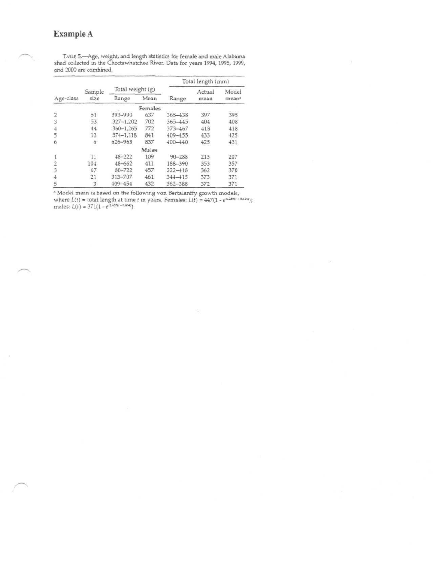# **Example A**

Total length (mm) Age-class 2 3 4 5 6 1 2 3 4 5 Sample size 31 53 44 13 0 11 104 67 21 *3* Total weight (g) Range 393-990 327-1,202 360-1,265 574-1,118 626-963 48-222 48-662 80-722 313-707 409-154 Mean Females 637 702 772 841 837 Males 109 411 457 461 432 Range 365-438 365-445 373-467 409-155 400-440 90-288 188-390 222-418 344-415 362-388 Actual mean 397 404 418 433 425 213 353 362 373 372 Model 395 408 418 425 431 207 357 370 371 371

TABLE 5.—Age, weight, and length statistics for female and male Alabama shad collected in the Choctawhatchee River. Data for years 1994, 1995, 1999, and 2000 are combined.

" Model mean is based on the following von Bertalanffy growth models, where  $L(t) = \text{total length at time } t$  in years. Females:  $L(t) = 447(1 - e^{-0.289/t} - \text{mass.})$ .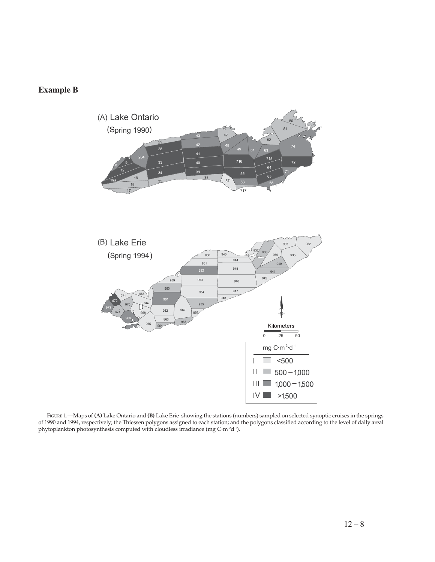# **Example B**



FIGURE 1.—Maps of **(A)** Lake Ontario and **(B)** Lake Erie showing the stations (numbers) sampled on selected synoptic cruises in the springs of 1990 and 1994, respectively; the Thiessen polygons assigned to each station; and the polygons classified according to the level of daily areal phytoplankton photosynthesis computed with cloudless irradiance (mg C·m<sup>-2</sup>d<sup>-1</sup>).